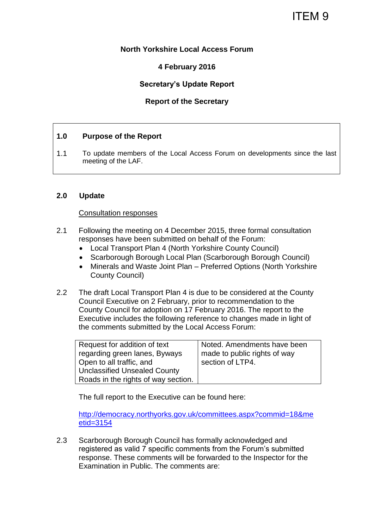# ITEM 9

# **North Yorkshire Local Access Forum**

# **4 February 2016**

# **Secretary's Update Report**

# **Report of the Secretary**

## **1.0 Purpose of the Report**

1.1 To update members of the Local Access Forum on developments since the last meeting of the LAF.

## **2.0 Update**

#### Consultation responses

- 2.1 Following the meeting on 4 December 2015, three formal consultation responses have been submitted on behalf of the Forum:
	- Local Transport Plan 4 (North Yorkshire County Council)
	- Scarborough Borough Local Plan (Scarborough Borough Council)
	- Minerals and Waste Joint Plan Preferred Options (North Yorkshire County Council)
- 2.2 The draft Local Transport Plan 4 is due to be considered at the County Council Executive on 2 February, prior to recommendation to the County Council for adoption on 17 February 2016. The report to the Executive includes the following reference to changes made in light of the comments submitted by the Local Access Forum:

| Request for addition of text        | Noted. Amendments have been  |
|-------------------------------------|------------------------------|
| regarding green lanes, Byways       | made to public rights of way |
| Open to all traffic, and            | section of LTP4.             |
| Unclassified Unsealed County        |                              |
| Roads in the rights of way section. |                              |

The full report to the Executive can be found here:

[http://democracy.northyorks.gov.uk/committees.aspx?commid=18&me](http://democracy.northyorks.gov.uk/committees.aspx?commid=18&meetid=3154) [etid=3154](http://democracy.northyorks.gov.uk/committees.aspx?commid=18&meetid=3154)

2.3 Scarborough Borough Council has formally acknowledged and registered as valid 7 specific comments from the Forum's submitted response. These comments will be forwarded to the Inspector for the Examination in Public. The comments are: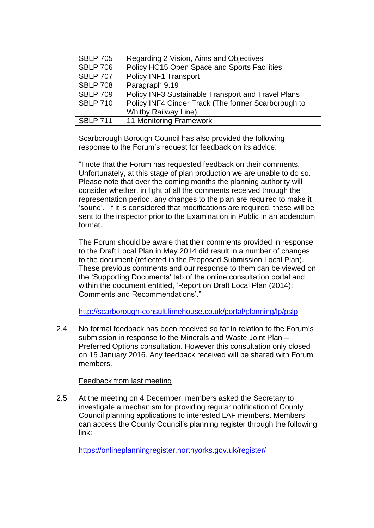| <b>SBLP 705</b> | Regarding 2 Vision, Aims and Objectives             |
|-----------------|-----------------------------------------------------|
| <b>SBLP 706</b> | Policy HC15 Open Space and Sports Facilities        |
| <b>SBLP 707</b> | Policy INF1 Transport                               |
| <b>SBLP 708</b> | Paragraph 9.19                                      |
| <b>SBLP 709</b> | Policy INF3 Sustainable Transport and Travel Plans  |
| <b>SBLP 710</b> | Policy INF4 Cinder Track (The former Scarborough to |
|                 | <b>Whitby Railway Line)</b>                         |
| <b>SBLP 711</b> | 11 Monitoring Framework                             |

Scarborough Borough Council has also provided the following response to the Forum's request for feedback on its advice:

"I note that the Forum has requested feedback on their comments. Unfortunately, at this stage of plan production we are unable to do so. Please note that over the coming months the planning authority will consider whether, in light of all the comments received through the representation period, any changes to the plan are required to make it 'sound'. If it is considered that modifications are required, these will be sent to the inspector prior to the Examination in Public in an addendum format.

The Forum should be aware that their comments provided in response to the Draft Local Plan in May 2014 did result in a number of changes to the document (reflected in the Proposed Submission Local Plan). These previous comments and our response to them can be viewed on the 'Supporting Documents' tab of the online consultation portal and within the document entitled, 'Report on Draft Local Plan (2014): Comments and Recommendations'."

<http://scarborough-consult.limehouse.co.uk/portal/planning/lp/pslp>

2.4 No formal feedback has been received so far in relation to the Forum's submission in response to the Minerals and Waste Joint Plan – Preferred Options consultation. However this consultation only closed on 15 January 2016. Any feedback received will be shared with Forum members.

# Feedback from last meeting

2.5 At the meeting on 4 December, members asked the Secretary to investigate a mechanism for providing regular notification of County Council planning applications to interested LAF members. Members can access the County Council's planning register through the following link:

<https://onlineplanningregister.northyorks.gov.uk/register/>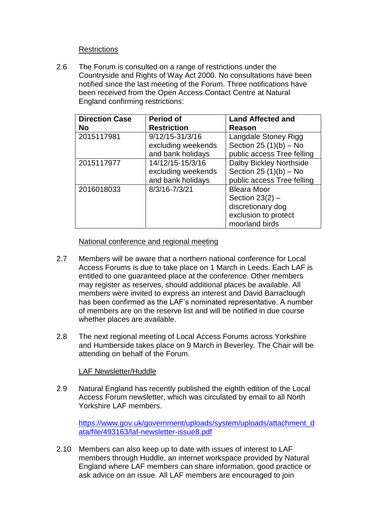# **Restrictions**

2.6 The Forum is consulted on a range of restrictions under the Countryside and Rights of Way Act 2000. No consultations have been notified since the last meeting of the Forum. Three notifications have been received from the Open Access Contact Centre at Natural England confirming restrictions:

| <b>Direction Case</b> | <b>Period of</b>   | <b>Land Affected and</b>   |
|-----------------------|--------------------|----------------------------|
| <b>No</b>             | <b>Restriction</b> | Reason                     |
| 2015117981            | 9/12/15-31/3/16    | Langdale Stoney Rigg       |
|                       | excluding weekends | Section 25 $(1)(b)$ – No   |
|                       | and bank holidays  | public access Tree felling |
| 2015117977            | 14/12/15-15/3/16   | Dalby Bickley Northside    |
|                       | excluding weekends | Section 25 $(1)(b)$ – No   |
|                       | and bank holidays  | public access Tree felling |
| 2016018033            | 8/3/16-7/3/21      | <b>Bleara Moor</b>         |
|                       |                    | Section $23(2)$ –          |
|                       |                    | discretionary dog          |
|                       |                    | exclusion to protect       |
|                       |                    | moorland birds             |

## National conference and regional meeting

- 2.7 Members will be aware that a northern national conference for Local Access Forums is due to take place on 1 March in Leeds. Each LAF is entitled to one guaranteed place at the conference. Other members may register as reserves, should additional places be available. All members were invited to express an interest and David Barraclough has been confirmed as the LAF's nominated representative. A number of members are on the reserve list and will be notified in due course whether places are available.
- 2.8 The next regional meeting of Local Access Forums across Yorkshire and Humberside takes place on 9 March in Beverley. The Chair will be attending on behalf of the Forum.

# LAF Newsletter/Huddle

2.9 Natural England has recently published the eighth edition of the Local Access Forum newsletter, which was circulated by email to all North Yorkshire LAF members.

[https://www.gov.uk/government/uploads/system/uploads/attachment\\_d](https://www.gov.uk/government/uploads/system/uploads/attachment_data/file/493163/laf-newsletter-issue8.pdf) [ata/file/493163/laf-newsletter-issue8.pdf](https://www.gov.uk/government/uploads/system/uploads/attachment_data/file/493163/laf-newsletter-issue8.pdf)

2.10 Members can also keep up to date with issues of interest to LAF members through Huddle, an internet workspace provided by Natural England where LAF members can share information, good practice or ask advice on an issue. All LAF members are encouraged to join